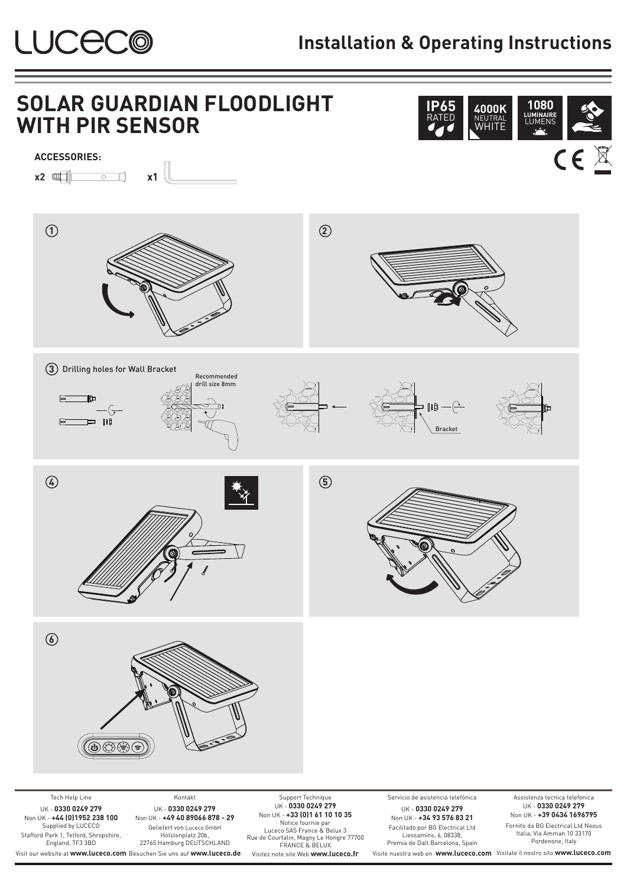

## **Installation & Operating Instructions**